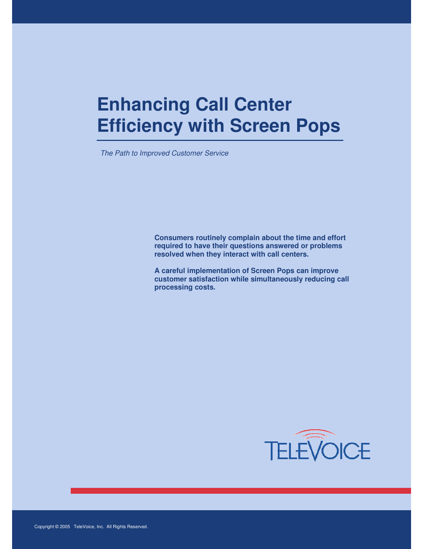# **Enhancing Call Center Efficiency with Screen Pops**

The Path to Improved Customer Service

**Consumers routinely complain about the time and effort required to have their questions answered or problems resolved when they interact with call centers.** 

**A careful implementation of Screen Pops can improve customer satisfaction while simultaneously reducing call processing costs.** 

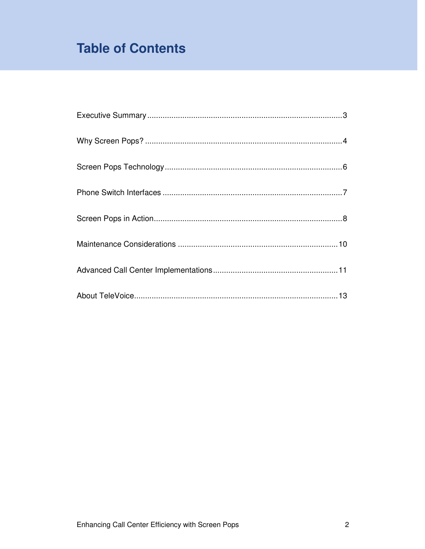# **Table of Contents**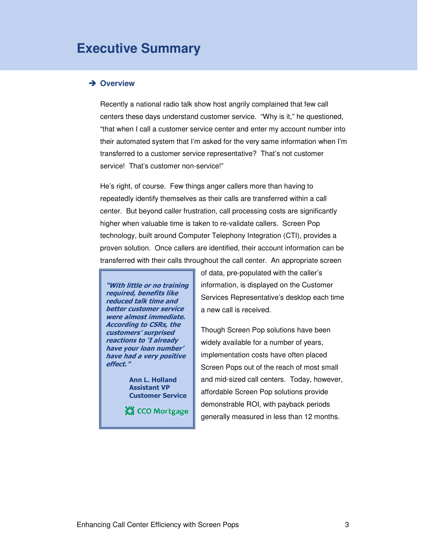### **Executive Summary**

#### **→ Overview**

Recently a national radio talk show host angrily complained that few call centers these days understand customer service. "Why is it," he questioned, "that when I call a customer service center and enter my account number into their automated system that I'm asked for the very same information when I'm transferred to a customer service representative? That's not customer service! That's customer non-service!"

He's right, of course. Few things anger callers more than having to repeatedly identify themselves as their calls are transferred within a call center. But beyond caller frustration, call processing costs are significantly higher when valuable time is taken to re-validate callers. Screen Pop technology, built around Computer Telephony Integration (CTI), provides a proven solution. Once callers are identified, their account information can be transferred with their calls throughout the call center. An appropriate screen



 Ann L. Holland Assistant VP Customer Service

**XX CCO Mortgage** 

of data, pre-populated with the caller's information, is displayed on the Customer Services Representative's desktop each time a new call is received.

Though Screen Pop solutions have been widely available for a number of years, implementation costs have often placed Screen Pops out of the reach of most small and mid-sized call centers. Today, however, affordable Screen Pop solutions provide demonstrable ROI, with payback periods generally measured in less than 12 months.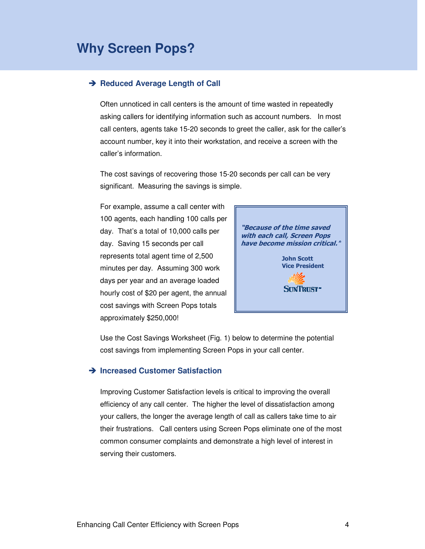## **Why Screen Pops?**

#### **→ Reduced Average Length of Call**

Often unnoticed in call centers is the amount of time wasted in repeatedly asking callers for identifying information such as account numbers. In most call centers, agents take 15-20 seconds to greet the caller, ask for the caller's account number, key it into their workstation, and receive a screen with the caller's information.

The cost savings of recovering those 15-20 seconds per call can be very significant. Measuring the savings is simple.

For example, assume a call center with 100 agents, each handling 100 calls per day. That's a total of 10,000 calls per day. Saving 15 seconds per call represents total agent time of 2,500 minutes per day. Assuming 300 work days per year and an average loaded hourly cost of \$20 per agent, the annual cost savings with Screen Pops totals approximately \$250,000!



Use the Cost Savings Worksheet (Fig. 1) below to determine the potential cost savings from implementing Screen Pops in your call center.

#### **→ Increased Customer Satisfaction**

Improving Customer Satisfaction levels is critical to improving the overall efficiency of any call center. The higher the level of dissatisfaction among your callers, the longer the average length of call as callers take time to air their frustrations. Call centers using Screen Pops eliminate one of the most common consumer complaints and demonstrate a high level of interest in serving their customers.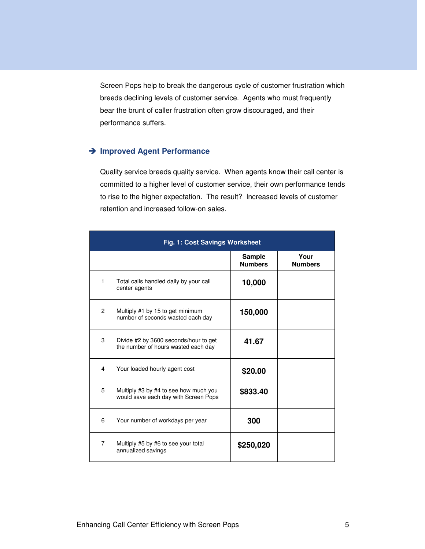Screen Pops help to break the dangerous cycle of customer frustration which breeds declining levels of customer service. Agents who must frequently bear the brunt of caller frustration often grow discouraged, and their performance suffers.

### **Improved Agent Performance**

Quality service breeds quality service. When agents know their call center is committed to a higher level of customer service, their own performance tends to rise to the higher expectation. The result? Increased levels of customer retention and increased follow-on sales.

| Fig. 1: Cost Savings Worksheet |                                                                               |                                 |                        |
|--------------------------------|-------------------------------------------------------------------------------|---------------------------------|------------------------|
|                                |                                                                               | <b>Sample</b><br><b>Numbers</b> | Your<br><b>Numbers</b> |
| 1                              | Total calls handled daily by your call<br>center agents                       | 10,000                          |                        |
| $\overline{2}$                 | Multiply #1 by 15 to get minimum<br>number of seconds wasted each day         | 150,000                         |                        |
| 3                              | Divide #2 by 3600 seconds/hour to get<br>the number of hours wasted each day  | 41.67                           |                        |
| 4                              | Your loaded hourly agent cost                                                 | \$20.00                         |                        |
| 5                              | Multiply #3 by #4 to see how much you<br>would save each day with Screen Pops | \$833.40                        |                        |
| 6                              | Your number of workdays per year                                              | 300                             |                        |
| $\overline{7}$                 | Multiply #5 by #6 to see your total<br>annualized savings                     | \$250,020                       |                        |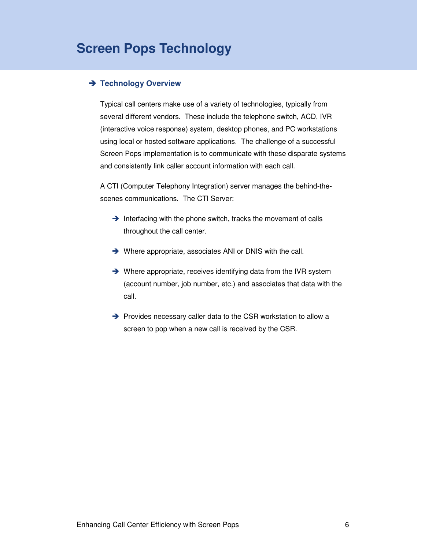## **Screen Pops Technology**

#### **Technology Overview**

Typical call centers make use of a variety of technologies, typically from several different vendors. These include the telephone switch, ACD, IVR (interactive voice response) system, desktop phones, and PC workstations using local or hosted software applications. The challenge of a successful Screen Pops implementation is to communicate with these disparate systems and consistently link caller account information with each call.

A CTI (Computer Telephony Integration) server manages the behind-thescenes communications. The CTI Server:

- $\rightarrow$  Interfacing with the phone switch, tracks the movement of calls throughout the call center.
- → Where appropriate, associates ANI or DNIS with the call.
- → Where appropriate, receives identifying data from the IVR system (account number, job number, etc.) and associates that data with the call.
- $\rightarrow$  Provides necessary caller data to the CSR workstation to allow a screen to pop when a new call is received by the CSR.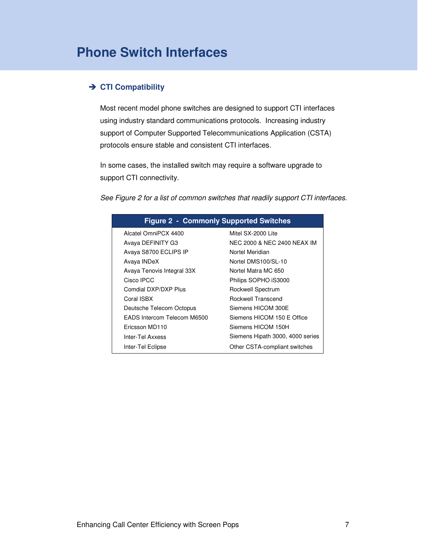### **→ CTI Compatibility**

Most recent model phone switches are designed to support CTI interfaces using industry standard communications protocols. Increasing industry support of Computer Supported Telecommunications Application (CSTA) protocols ensure stable and consistent CTI interfaces.

In some cases, the installed switch may require a software upgrade to support CTI connectivity.

See Figure 2 for a list of common switches that readily support CTI interfaces.

| <b>Figure 2 - Commonly Supported Switches</b> |                                  |  |  |  |
|-----------------------------------------------|----------------------------------|--|--|--|
| Alcatel OmniPCX 4400                          | Mitel SX-2000 Lite               |  |  |  |
| Avaya DEFINITY G3                             | NEC 2000 & NEC 2400 NEAX IM      |  |  |  |
| Avaya S8700 ECLIPS IP                         | Nortel Meridian                  |  |  |  |
| Avaya INDeX                                   | Nortel DMS100/SL-10              |  |  |  |
| Avaya Tenovis Integral 33X                    | Nortel Matra MC 650              |  |  |  |
| Cisco IPCC                                    | Philips SOPHO iS3000             |  |  |  |
| Comdial DXP/DXP Plus                          | Rockwell Spectrum                |  |  |  |
| Coral ISBX                                    | Rockwell Transcend               |  |  |  |
| Deutsche Telecom Octopus                      | Siemens HICOM 300E               |  |  |  |
| EADS Intercom Telecom M6500                   | Siemens HICOM 150 E Office       |  |  |  |
| Ericsson MD110                                | Siemens HICOM 150H               |  |  |  |
| Inter-Tel Axxess                              | Siemens Hipath 3000, 4000 series |  |  |  |
| Inter-Tel Eclipse                             | Other CSTA-compliant switches    |  |  |  |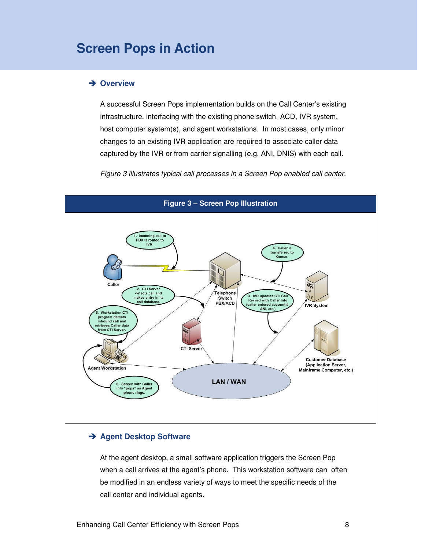### **Screen Pops in Action**

#### **→ Overview**

A successful Screen Pops implementation builds on the Call Center's existing infrastructure, interfacing with the existing phone switch, ACD, IVR system, host computer system(s), and agent workstations. In most cases, only minor changes to an existing IVR application are required to associate caller data captured by the IVR or from carrier signalling (e.g. ANI, DNIS) with each call.

Figure 3 illustrates typical call processes in a Screen Pop enabled call center.



#### **Agent Desktop Software**

At the agent desktop, a small software application triggers the Screen Pop when a call arrives at the agent's phone. This workstation software can often be modified in an endless variety of ways to meet the specific needs of the call center and individual agents.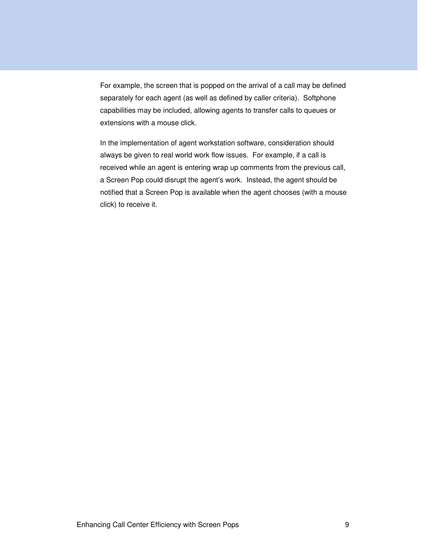For example, the screen that is popped on the arrival of a call may be defined separately for each agent (as well as defined by caller criteria). Softphone capabilities may be included, allowing agents to transfer calls to queues or extensions with a mouse click.

In the implementation of agent workstation software, consideration should always be given to real world work flow issues. For example, if a call is received while an agent is entering wrap up comments from the previous call, a Screen Pop could disrupt the agent's work. Instead, the agent should be notified that a Screen Pop is available when the agent chooses (with a mouse click) to receive it.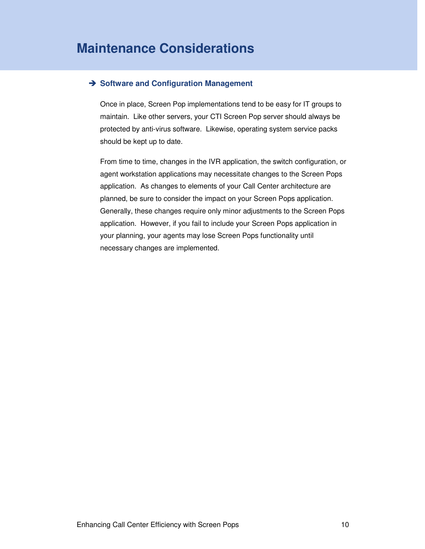#### **→ Software and Configuration Management**

Once in place, Screen Pop implementations tend to be easy for IT groups to maintain. Like other servers, your CTI Screen Pop server should always be protected by anti-virus software. Likewise, operating system service packs should be kept up to date.

From time to time, changes in the IVR application, the switch configuration, or agent workstation applications may necessitate changes to the Screen Pops application. As changes to elements of your Call Center architecture are planned, be sure to consider the impact on your Screen Pops application. Generally, these changes require only minor adjustments to the Screen Pops application. However, if you fail to include your Screen Pops application in your planning, your agents may lose Screen Pops functionality until necessary changes are implemented.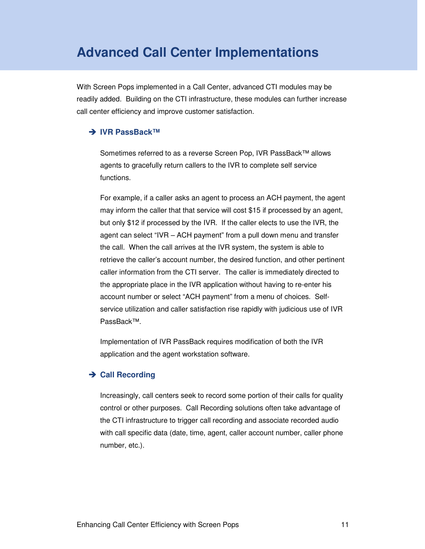### **Advanced Call Center Implementations**

With Screen Pops implemented in a Call Center, advanced CTI modules may be readily added. Building on the CTI infrastructure, these modules can further increase call center efficiency and improve customer satisfaction.

#### $\rightarrow$  **IVR PassBack™**

Sometimes referred to as a reverse Screen Pop, IVR PassBack™ allows agents to gracefully return callers to the IVR to complete self service functions.

For example, if a caller asks an agent to process an ACH payment, the agent may inform the caller that that service will cost \$15 if processed by an agent, but only \$12 if processed by the IVR. If the caller elects to use the IVR, the agent can select "IVR – ACH payment" from a pull down menu and transfer the call. When the call arrives at the IVR system, the system is able to retrieve the caller's account number, the desired function, and other pertinent caller information from the CTI server. The caller is immediately directed to the appropriate place in the IVR application without having to re-enter his account number or select "ACH payment" from a menu of choices. Selfservice utilization and caller satisfaction rise rapidly with judicious use of IVR PassBack™.

Implementation of IVR PassBack requires modification of both the IVR application and the agent workstation software.

#### **→ Call Recording**

Increasingly, call centers seek to record some portion of their calls for quality control or other purposes. Call Recording solutions often take advantage of the CTI infrastructure to trigger call recording and associate recorded audio with call specific data (date, time, agent, caller account number, caller phone number, etc.).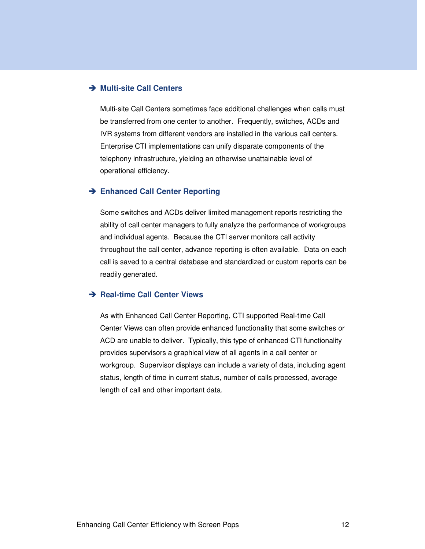#### **→ Multi-site Call Centers**

Multi-site Call Centers sometimes face additional challenges when calls must be transferred from one center to another. Frequently, switches, ACDs and IVR systems from different vendors are installed in the various call centers. Enterprise CTI implementations can unify disparate components of the telephony infrastructure, yielding an otherwise unattainable level of operational efficiency.

#### **→ Enhanced Call Center Reporting**

Some switches and ACDs deliver limited management reports restricting the ability of call center managers to fully analyze the performance of workgroups and individual agents. Because the CTI server monitors call activity throughout the call center, advance reporting is often available. Data on each call is saved to a central database and standardized or custom reports can be readily generated.

#### **→ Real-time Call Center Views**

As with Enhanced Call Center Reporting, CTI supported Real-time Call Center Views can often provide enhanced functionality that some switches or ACD are unable to deliver. Typically, this type of enhanced CTI functionality provides supervisors a graphical view of all agents in a call center or workgroup. Supervisor displays can include a variety of data, including agent status, length of time in current status, number of calls processed, average length of call and other important data.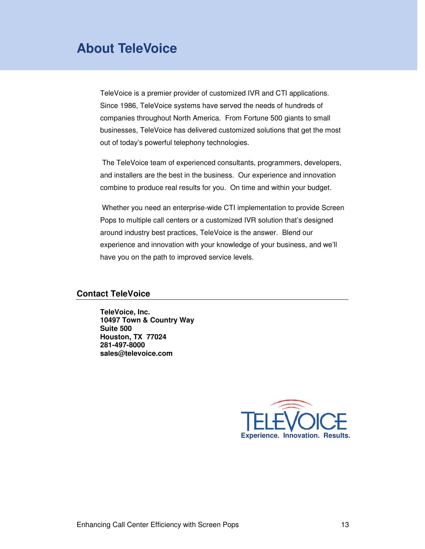## **About TeleVoice**

TeleVoice is a premier provider of customized IVR and CTI applications. Since 1986, TeleVoice systems have served the needs of hundreds of companies throughout North America. From Fortune 500 giants to small businesses, TeleVoice has delivered customized solutions that get the most out of today's powerful telephony technologies.

 The TeleVoice team of experienced consultants, programmers, developers, and installers are the best in the business. Our experience and innovation combine to produce real results for you. On time and within your budget.

 Whether you need an enterprise-wide CTI implementation to provide Screen Pops to multiple call centers or a customized IVR solution that's designed around industry best practices, TeleVoice is the answer. Blend our experience and innovation with your knowledge of your business, and we'll have you on the path to improved service levels.

#### **Contact TeleVoice**

**TeleVoice, Inc. 10497 Town & Country Way Suite 500 Houston, TX 77024 281-497-8000 sales@televoice.com**